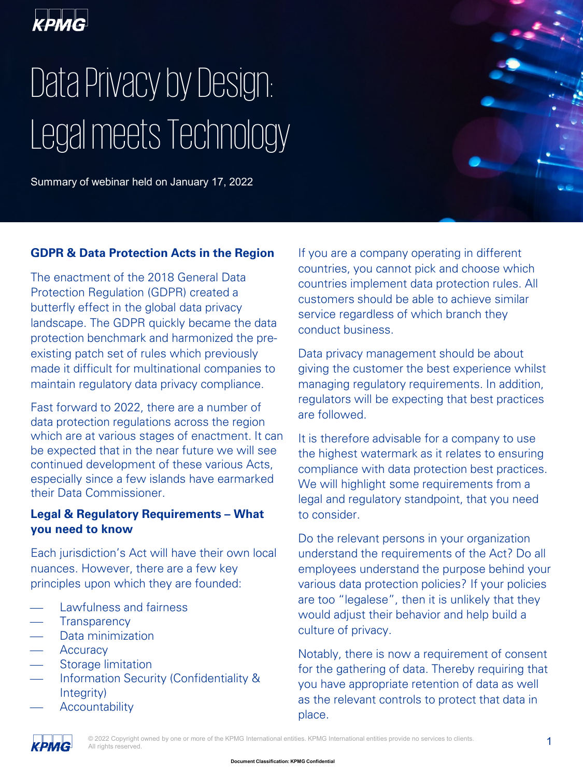

# Data Privacy by Design: Legal meets Technology

Summary of webinar held on January 17, 2022

#### **GDPR & Data Protection Acts in the Region**

The enactment of the 2018 General Data Protection Regulation (GDPR) created a butterfly effect in the global data privacy landscape. The GDPR quickly became the data protection benchmark and harmonized the preexisting patch set of rules which previously made it difficult for multinational companies to maintain regulatory data privacy compliance.

Fast forward to 2022, there are a number of data protection regulations across the region which are at various stages of enactment. It can be expected that in the near future we will see continued development of these various Acts, especially since a few islands have earmarked their Data Commissioner.

#### **Legal & Regulatory Requirements – What you need to know**

Each jurisdiction's Act will have their own local nuances. However, there are a few key principles upon which they are founded:

- Lawfulness and fairness
- **Transparency**
- Data minimization
- **Accuracy**
- Storage limitation
- Information Security (Confidentiality & Integrity)
- **Accountability**

If you are a company operating in different countries, you cannot pick and choose which countries implement data protection rules. All customers should be able to achieve similar service regardless of which branch they conduct business.

Data privacy management should be about giving the customer the best experience whilst managing regulatory requirements. In addition, regulators will be expecting that best practices are followed.

It is therefore advisable for a company to use the highest watermark as it relates to ensuring compliance with data protection best practices. We will highlight some requirements from a legal and regulatory standpoint, that you need to consider.

Do the relevant persons in your organization understand the requirements of the Act? Do all employees understand the purpose behind your various data protection policies? If your policies are too "legalese", then it is unlikely that they would adjust their behavior and help build a culture of privacy.

Notably, there is now a requirement of consent for the gathering of data. Thereby requiring that you have appropriate retention of data as well as the relevant controls to protect that data in place.

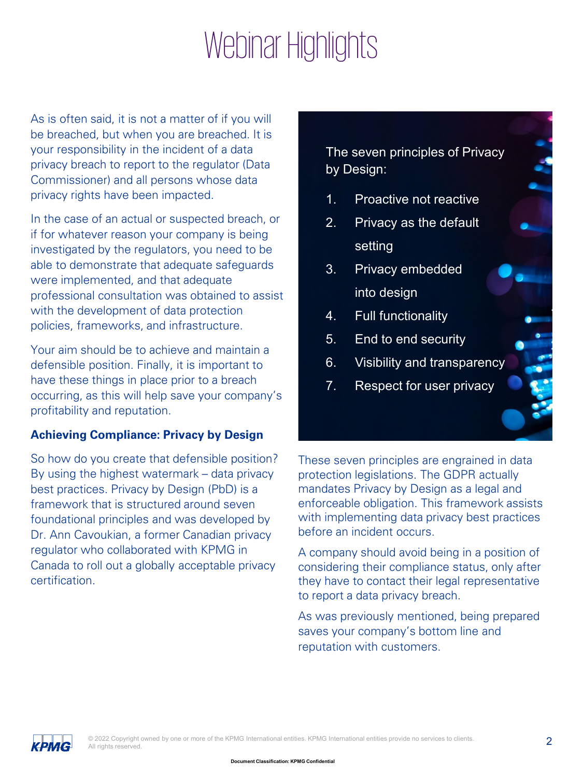### Webinar Highlights

As is often said, it is not a matter of if you will be breached, but when you are breached. It is your responsibility in the incident of a data privacy breach to report to the regulator (Data Commissioner) and all persons whose data privacy rights have been impacted.

In the case of an actual or suspected breach, or if for whatever reason your company is being investigated by the regulators, you need to be able to demonstrate that adequate safeguards were implemented, and that adequate professional consultation was obtained to assist with the development of data protection policies, frameworks, and infrastructure.

Your aim should be to achieve and maintain a defensible position. Finally, it is important to have these things in place prior to a breach occurring, as this will help save your company's profitability and reputation.

### **Achieving Compliance: Privacy by Design**

So how do you create that defensible position? By using the highest watermark – data privacy best practices. Privacy by Design (PbD) is a framework that is structured around seven foundational principles and was developed by Dr. Ann Cavoukian, a former Canadian privacy regulator who collaborated with KPMG in Canada to roll out a globally acceptable privacy certification.

The seven principles of Privacy by Design:

- 1. Proactive not reactive
- 2. Privacy as the default setting
- 3. Privacy embedded into design
- 4. Full functionality
- 5. End to end security
- 6. Visibility and transparency
- 7. Respect for user privacy

These seven principles are engrained in data protection legislations. The GDPR actually mandates Privacy by Design as a legal and enforceable obligation. This framework assists with implementing data privacy best practices before an incident occurs.

A company should avoid being in a position of considering their compliance status, only after they have to contact their legal representative to report a data privacy breach.

As was previously mentioned, being prepared saves your company's bottom line and reputation with customers.

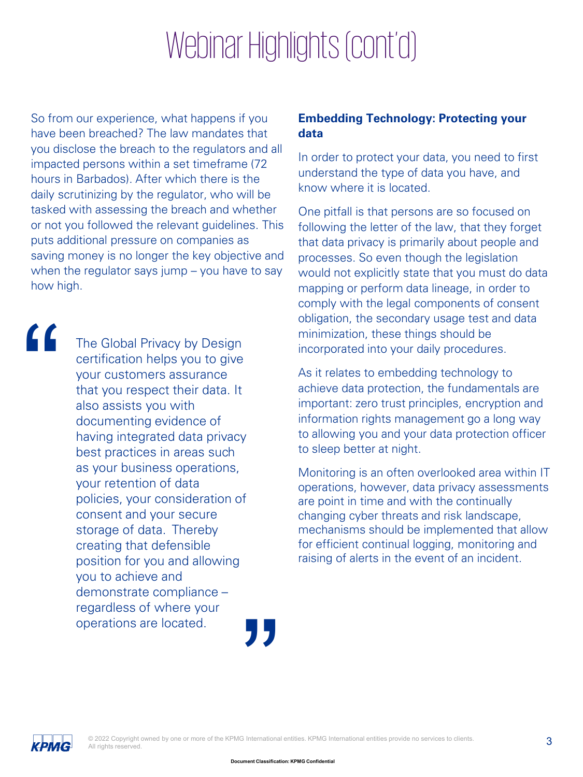## Webinar Highlights (cont'd)

So from our experience, what happens if you have been breached? The law mandates that you disclose the breach to the regulators and all impacted persons within a set timeframe (72 hours in Barbados). After which there is the daily scrutinizing by the regulator, who will be tasked with assessing the breach and whether or not you followed the relevant guidelines. This puts additional pressure on companies as saving money is no longer the key objective and when the regulator says jump – you have to say how high.

"

**"**<br>" The Global Privacy by Design certification helps you to give your customers assurance that you respect their data. It also assists you with documenting evidence of having integrated data privacy best practices in areas such as your business operations, your retention of data policies, your consideration of consent and your secure storage of data. Thereby creating that defensible position for you and allowing you to achieve and demonstrate compliance – regardless of where your operations are located.

### **Embedding Technology: Protecting your data**

In order to protect your data, you need to first understand the type of data you have, and know where it is located.

One pitfall is that persons are so focused on following the letter of the law, that they forget that data privacy is primarily about people and processes. So even though the legislation would not explicitly state that you must do data mapping or perform data lineage, in order to comply with the legal components of consent obligation, the secondary usage test and data minimization, these things should be incorporated into your daily procedures.

As it relates to embedding technology to achieve data protection, the fundamentals are important: zero trust principles, encryption and information rights management go a long way to allowing you and your data protection officer to sleep better at night.

Monitoring is an often overlooked area within IT operations, however, data privacy assessments are point in time and with the continually changing cyber threats and risk landscape, mechanisms should be implemented that allow for efficient continual logging, monitoring and raising of alerts in the event of an incident.

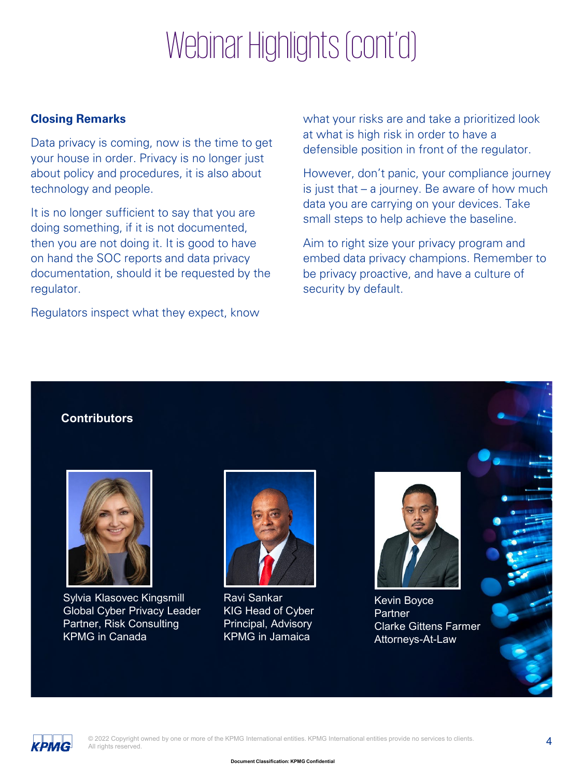# Webinar Highlights (cont'd)

#### **Closing Remarks**

Data privacy is coming, now is the time to get your house in order. Privacy is no longer just about policy and procedures, it is also about technology and people.

It is no longer sufficient to say that you are doing something, if it is not documented, then you are not doing it. It is good to have on hand the SOC reports and data privacy documentation, should it be requested by the regulator.

Regulators inspect what they expect, know

what your risks are and take a prioritized look at what is high risk in order to have a defensible position in front of the regulator.

However, don't panic, your compliance journey is just that – a journey. Be aware of how much data you are carrying on your devices. Take small steps to help achieve the baseline.

Aim to right size your privacy program and embed data privacy champions. Remember to be privacy proactive, and have a culture of security by default.

#### **Contributors**



Sylvia Klasovec Kingsmill Global Cyber Privacy Leader Partner, Risk Consulting KPMG in Canada



Ravi Sankar KIG Head of Cyber Principal, Advisory KPMG in Jamaica



Kevin Boyce Partner Clarke Gittens Farmer Attorneys-At-Law